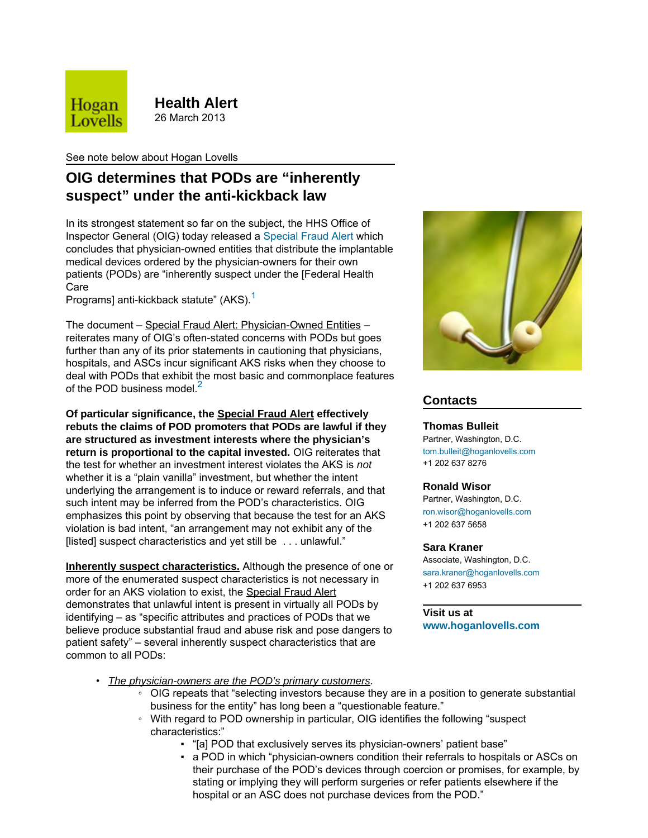

**Health Alert** 26 March 2013

See note below about Hogan Lovells

# **OIG determines that PODs are "inherently suspect" under the anti-kickback law**

In its strongest statement so far on the subject, the HHS Office of Inspector General (OIG) today released a [Special Fraud Alert](https://oig.hhs.gov/fraud/docs/alertsandbulletins/2013/POD_Special_Fraud_Alert.pdf) which concludes that physician-owned entities that distribute the implantable medical devices ordered by the physician-owners for their own patients (PODs) are "inherently suspect under the [Federal Health Care

Programs] anti-kickback statute" (AKS).<sup>[1](#page-1-0)</sup>

The document – Special Fraud Alert: Physician-Owned Entities – reiterates many of OIG's often-stated concerns with PODs but goes further than any of its prior statements in cautioning that physicians, hospitals, and ASCs incur significant AKS risks when they choose to deal with PODs that exhibit the most basic and commonplace features of the POD business model. $<sup>2</sup>$  $<sup>2</sup>$  $<sup>2</sup>$ </sup>

**Of particular significance, the Special Fraud Alert effectively rebuts the claims of POD promoters that PODs are lawful if they are structured as investment interests where the physician's return is proportional to the capital invested.** OIG reiterates that the test for whether an investment interest violates the AKS is *not* whether it is a "plain vanilla" investment, but whether the intent underlying the arrangement is to induce or reward referrals, and that such intent may be inferred from the POD's characteristics. OIG emphasizes this point by observing that because the test for an AKS violation is bad intent, "an arrangement may not exhibit any of the [listed] suspect characteristics and yet still be . . . unlawful."

**Inherently suspect characteristics.** Although the presence of one or more of the enumerated suspect characteristics is not necessary in order for an AKS violation to exist, the Special Fraud Alert demonstrates that unlawful intent is present in virtually all PODs by identifying – as "specific attributes and practices of PODs that we believe produce substantial fraud and abuse risk and pose dangers to patient safety" – several inherently suspect characteristics that are common to all PODs:



# **Contacts**

## **Thomas Bulleit**

Partner, Washington, D.C. [tom.bulleit@hoganlovells.com](mailto:tom.bulleit@hoganlovells.com) +1 202 637 8276

## **Ronald Wisor**

Partner, Washington, D.C. [ron.wisor@hoganlovells.com](mailto:ron.wisor@hoganlovells.com) +1 202 637 5658

## **Sara Kraner**

Associate, Washington, D.C. [sara.kraner@hoganlovells.com](mailto:sara.kraner@hoganlovells.com) +1 202 637 6953

## **Visit us at**

**[www.hoganlovells.com](http://www.hoganlovells.com)**

- *The physician-owners are the POD's primary customers.*
	- OIG repeats that "selecting investors because they are in a position to generate substantial business for the entity" has long been a "questionable feature."
	- With regard to POD ownership in particular, OIG identifies the following "suspect characteristics:"
		- "[a] POD that exclusively serves its physician-owners' patient base"
		- a POD in which "physician-owners condition their referrals to hospitals or ASCs on their purchase of the POD's devices through coercion or promises, for example, by stating or implying they will perform surgeries or refer patients elsewhere if the hospital or an ASC does not purchase devices from the POD."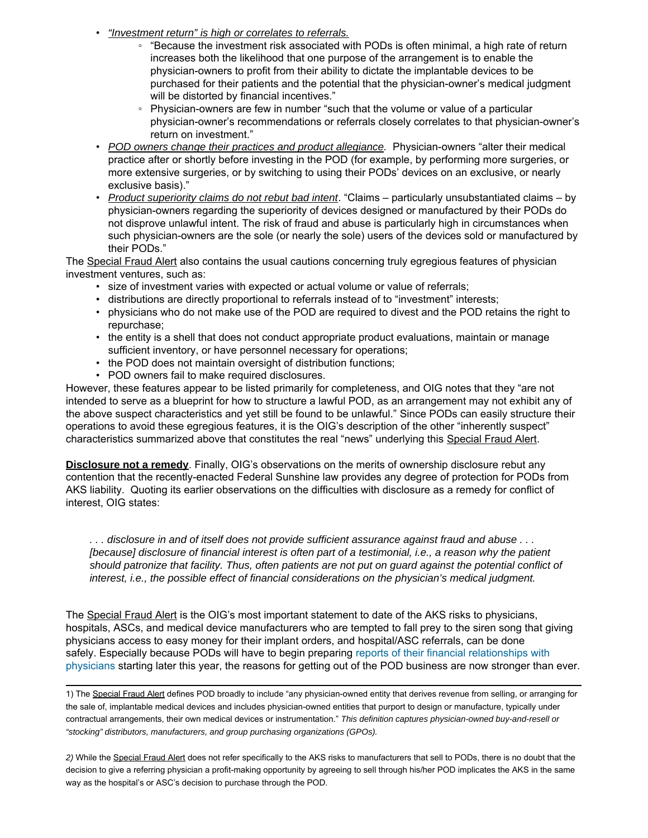- *"Investment return" is high or correlates to referrals.*
	- "Because the investment risk associated with PODs is often minimal, a high rate of return increases both the likelihood that one purpose of the arrangement is to enable the physician-owners to profit from their ability to dictate the implantable devices to be purchased for their patients and the potential that the physician-owner's medical judgment will be distorted by financial incentives."
	- Physician-owners are few in number "such that the volume or value of a particular physician-owner's recommendations or referrals closely correlates to that physician-owner's return on investment."
- *POD owners change their practices and product allegiance.* Physician-owners "alter their medical practice after or shortly before investing in the POD (for example, by performing more surgeries, or more extensive surgeries, or by switching to using their PODs' devices on an exclusive, or nearly exclusive basis)."
- *Product superiority claims do not rebut bad intent*. "Claims particularly unsubstantiated claims by physician-owners regarding the superiority of devices designed or manufactured by their PODs do not disprove unlawful intent. The risk of fraud and abuse is particularly high in circumstances when such physician-owners are the sole (or nearly the sole) users of the devices sold or manufactured by their PODs."

The Special Fraud Alert also contains the usual cautions concerning truly egregious features of physician investment ventures, such as:

- size of investment varies with expected or actual volume or value of referrals;
- distributions are directly proportional to referrals instead of to "investment" interests;
- physicians who do not make use of the POD are required to divest and the POD retains the right to repurchase;
- the entity is a shell that does not conduct appropriate product evaluations, maintain or manage sufficient inventory, or have personnel necessary for operations;
- the POD does not maintain oversight of distribution functions;
- POD owners fail to make required disclosures.

However, these features appear to be listed primarily for completeness, and OIG notes that they "are not intended to serve as a blueprint for how to structure a lawful POD, as an arrangement may not exhibit any of the above suspect characteristics and yet still be found to be unlawful." Since PODs can easily structure their operations to avoid these egregious features, it is the OIG's description of the other "inherently suspect" characteristics summarized above that constitutes the real "news" underlying this Special Fraud Alert.

**Disclosure not a remedy**. Finally, OIG's observations on the merits of ownership disclosure rebut any contention that the recently-enacted Federal Sunshine law provides any degree of protection for PODs from AKS liability. Quoting its earlier observations on the difficulties with disclosure as a remedy for conflict of interest, OIG states:

*. . . disclosure in and of itself does not provide sufficient assurance against fraud and abuse . . . [because] disclosure of financial interest is often part of a testimonial, i.e., a reason why the patient should patronize that facility. Thus, often patients are not put on guard against the potential conflict of interest, i.e., the possible effect of financial considerations on the physician's medical judgment.*

The Special Fraud Alert is the OIG's most important statement to date of the AKS risks to physicians, hospitals, ASCs, and medical device manufacturers who are tempted to fall prey to the siren song that giving physicians access to easy money for their implant orders, and hospital/ASC referrals, can be done safely. Especially because PODs will have to begin preparing [reports of their financial relationships with](http://ehoganlovells.com/rv/ff000ea81300b48bc1e512a5ef44a2e3d02bd241) [physicians](http://ehoganlovells.com/rv/ff000ea81300b48bc1e512a5ef44a2e3d02bd241) starting later this year, the reasons for getting out of the POD business are now stronger than ever.

<span id="page-1-0"></span>1) The Special Fraud Alert defines POD broadly to include "any physician-owned entity that derives revenue from selling, or arranging for the sale of, implantable medical devices and includes physician-owned entities that purport to design or manufacture, typically under contractual arrangements, their own medical devices or instrumentation." *This definition captures physician-owned buy-and-resell or "stocking" distributors, manufacturers, and group purchasing organizations (GPOs).*

<span id="page-1-1"></span>*2)* While the Special Fraud Alert does not refer specifically to the AKS risks to manufacturers that sell to PODs, there is no doubt that the decision to give a referring physician a profit-making opportunity by agreeing to sell through his/her POD implicates the AKS in the same way as the hospital's or ASC's decision to purchase through the POD.